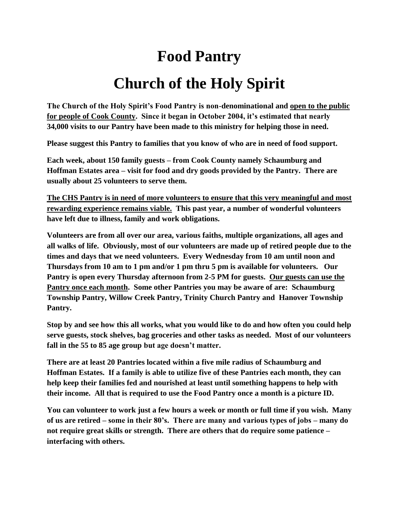## **Food Pantry**

## **Church of the Holy Spirit**

**The Church of the Holy Spirit's Food Pantry is non-denominational and open to the public for people of Cook County. Since it began in October 2004, it's estimated that nearly 34,000 visits to our Pantry have been made to this ministry for helping those in need.**

**Please suggest this Pantry to families that you know of who are in need of food support.**

**Each week, about 150 family guests – from Cook County namely Schaumburg and Hoffman Estates area – visit for food and dry goods provided by the Pantry. There are usually about 25 volunteers to serve them.** 

**The CHS Pantry is in need of more volunteers to ensure that this very meaningful and most rewarding experience remains viable. This past year, a number of wonderful volunteers have left due to illness, family and work obligations.**

**Volunteers are from all over our area, various faiths, multiple organizations, all ages and all walks of life. Obviously, most of our volunteers are made up of retired people due to the times and days that we need volunteers. Every Wednesday from 10 am until noon and Thursdays from 10 am to 1 pm and/or 1 pm thru 5 pm is available for volunteers. Our Pantry is open every Thursday afternoon from 2-5 PM for guests. Our guests can use the Pantry once each month. Some other Pantries you may be aware of are: Schaumburg Township Pantry, Willow Creek Pantry, Trinity Church Pantry and Hanover Township Pantry.**

**Stop by and see how this all works, what you would like to do and how often you could help serve guests, stock shelves, bag groceries and other tasks as needed. Most of our volunteers fall in the 55 to 85 age group but age doesn't matter.** 

**There are at least 20 Pantries located within a five mile radius of Schaumburg and Hoffman Estates. If a family is able to utilize five of these Pantries each month, they can help keep their families fed and nourished at least until something happens to help with their income. All that is required to use the Food Pantry once a month is a picture ID.** 

**You can volunteer to work just a few hours a week or month or full time if you wish. Many of us are retired – some in their 80's. There are many and various types of jobs – many do not require great skills or strength. There are others that do require some patience – interfacing with others.**